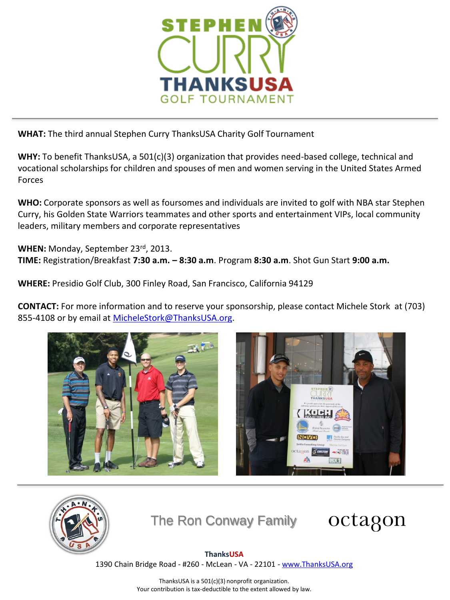

**WHAT:** The third annual Stephen Curry ThanksUSA Charity Golf Tournament

**WHY:** To benefit ThanksUSA, a 501(c)(3) organization that provides need-based college, technical and vocational scholarships for children and spouses of men and women serving in the United States Armed Forces

**WHO:** Corporate sponsors as well as foursomes and individuals are invited to golf with NBA star Stephen Curry, his Golden State Warriors teammates and other sports and entertainment VIPs, local community leaders, military members and corporate representatives

**WHEN:** Monday, September 23rd, 2013. **TIME:** Registration/Breakfast **7:30 a.m. – 8:30 a.m**. Program **8:30 a.m**. Shot Gun Start **9:00 a.m.**

**WHERE:** Presidio Golf Club, 300 Finley Road, San Francisco, California 94129

**CONTACT:** For more information and to reserve your sponsorship, please contact Michele Stork at (703) 855-4108 or by email at [MicheleStork@ThanksUSA.org.](mailto:MicheleStork@ThanksUSA.org)







The Ron Conway Family



## **ThanksUSA**

1390 Chain Bridge Road - #260 - McLean - VA - 22101 - [www.ThanksUSA.org](http://www.thanksusa.org/)

ThanksUSA is a 501(c)(3) nonprofit organization. Your contribution is tax-deductible to the extent allowed by law.